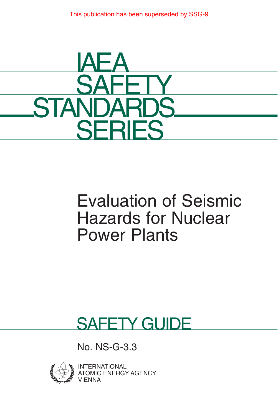

# Evaluation of Seismic Hazards for Nuclear Power Plants

# SAFETY GUIDE

No. NS-G-3.3



ATIONAL ATOMIC<br>MIC ENERGY AGENCY VIENNA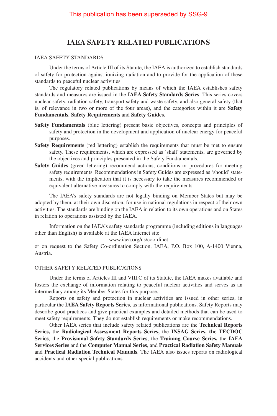### **IAEA SAFETY RELATED PUBLICATIONS**

#### IAEA SAFETY STANDARDS

Under the terms of Article III of its Statute, the IAEA is authorized to establish standards of safety for protection against ionizing radiation and to provide for the application of these standards to peaceful nuclear activities.

The regulatory related publications by means of which the IAEA establishes safety standards and measures are issued in the **IAEA Safety Standards Series**. This series covers nuclear safety, radiation safety, transport safety and waste safety, and also general safety (that is, of relevance in two or more of the four areas), and the categories within it are **Safety Fundamentals**, **Safety Requirements** and **Safety Guides.**

- **Safety Fundamentals** (blue lettering) present basic objectives, concepts and principles of safety and protection in the development and application of nuclear energy for peaceful purposes.
- **Safety Requirements** (red lettering) establish the requirements that must be met to ensure safety. These requirements, which are expressed as 'shall' statements, are governed by the objectives and principles presented in the Safety Fundamentals.
- **Safety Guides** (green lettering) recommend actions, conditions or procedures for meeting safety requirements. Recommendations in Safety Guides are expressed as 'should' statements, with the implication that it is necessary to take the measures recommended or equivalent alternative measures to comply with the requirements.

The IAEA's safety standards are not legally binding on Member States but may be adopted by them, at their own discretion, for use in national regulations in respect of their own activities. The standards are binding on the IAEA in relation to its own operations and on States in relation to operations assisted by the IAEA.

Information on the IAEA's safety standards programme (including editions in languages other than English) is available at the IAEA Internet site

www.iaea.org/ns/coordinet

or on request to the Safety Co-ordination Section, IAEA, P.O. Box 100, A-1400 Vienna, Austria.

#### OTHER SAFETY RELATED PUBLICATIONS

Under the terms of Articles III and VIII.C of its Statute, the IAEA makes available and fosters the exchange of information relating to peaceful nuclear activities and serves as an intermediary among its Member States for this purpose.

Reports on safety and protection in nuclear activities are issued in other series, in particular the **IAEA Safety Reports Series**, as informational publications. Safety Reports may describe good practices and give practical examples and detailed methods that can be used to meet safety requirements. They do not establish requirements or make recommendations.

Other IAEA series that include safety related publications are the **Technical Reports Series,** the **Radiological Assessment Reports Series,** the **INSAG Series, the TECDOC Series**, the **Provisional Safety Standards Series**, the **Training Course Series,** the **IAEA Services Series** and the **Computer Manual Series**, and **Practical Radiation Safety Manuals** and **Practical Radiation Technical Manuals**. The IAEA also issues reports on radiological accidents and other special publications.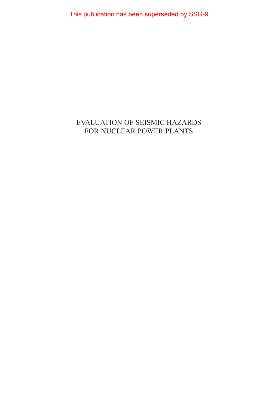# EVALUATION OF SEISMIC HAZARDS FOR NUCLEAR POWER PLANTS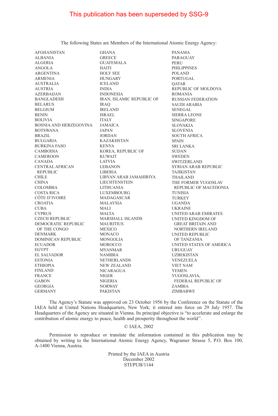The following States are Members of the International Atomic Energy Agency:

AFGHANISTAN ALBANIA ALGERIA ANGOLA ARGENTINA ARMENIA AUSTRALIA AUSTRIA AZERBAIJAN BANGLADESH BELARUS BELGIUM **BENIN** BOLIVIA BOSNIA AND HERZEGOVINA BOTSWANA BOTSWANA<br>BRAZIL BULGARIA BURKINA FASO CAMBODIA CAMEROON<br>Canada CANADA CENTRAL AFRICAN REPUBLIC CHILE<sub></sub> **CHINA** COLOMBIA COSTA RICA CÔTE D'IVOIRE CROATIA **CURA** CYPRUS CZECH REPUBLIC DEMOCRATIC REPUBLIC OF THE CONGO OF THE CONGO<br>DENMARK DOMINICAN REPUBLIC MONGOLIA ECUADOR EGYPT EGYTI<br>EL SALVADOR ESTONIA ETHIOPIA FINLAND FRANCE **GABON** GEORGIA GERMANY

GHANA GREECE GUATEMALA HAITI HOLY SEE HUNGARY ICELAND INDIA INDONESIA IRAN, ISLAMIC REPUBLIC OF RUSSIAN FEDERATION IRAQ IRELAND ISRAEL ITALY JAMAICA JAPAN JORDAN KAZAKHSTAN KENYA KOREA, REPUBLIC OF KUWAIT LATVIA LEBANON LIBERIA LIBYAN ARAB JAMAHIRIYA LIECHTENSTEIN LITHUANIA LUXEMBOURG MADAGASCAR MALAYSIA MALI MALTA MARSHALL ISLANDS MAURITIUS MEXICO MONACO MOROCCO MYANMAR NAMIBIA NETHERLANDS NEW ZEALAND NICARAGUA NIGER NIGERIA NORWAY PAKISTAN

PANAMA PARAGUAY PERU PHILIPPINES POLAND PORTUGAL QATAR REPUBLIC OF MOLDOVA ROMANIA SAUDI ARABIA SENEGAL SIERRA LEONE SINGAPORE SLOVAKIA SLOVENIA SOUTH AFRICA SPAIN SRI LANKA SUDAN SWEDEN SWITZERLAND SYRIAN ARAB REPUBLIC TAJIKISTAN THAILAND THE FORMER YUGOSLAV REPUBLIC OF MACEDONIA TUNISIA TURKEY UGANDA UKRAINE UNITED ARAB EMIRATES UNITED KINGDOM OF GREAT BRITAIN AND NORTHERN IRELAND UNITED REPUBLIC OF TANZANIA UNITED STATES OF AMERICA URUGUAY UZBEKISTAN VENEZUELA VIET NAM YEMEN YUGOSLAVIA, FEDERAL REPUBLIC OF ZAMBIA ZIMBABWE

The Agency's Statute was approved on 23 October 1956 by the Conference on the Statute of the IAEA held at United Nations Headquarters, New York; it entered into force on 29 July 1957. The Headquarters of the Agency are situated in Vienna. Its principal objective is "to accelerate and enlarge the contribution of atomic energy to peace, health and prosperity throughout the world''.

#### © IAEA, 2002

Permission to reproduce or translate the information contained in this publication may be obtained by writing to the International Atomic Energy Agency, Wagramer Strasse 5, P.O. Box 100, A-1400 Vienna, Austria.

> Printed by the IAEA in Austria December 2002 STI/PUB/1144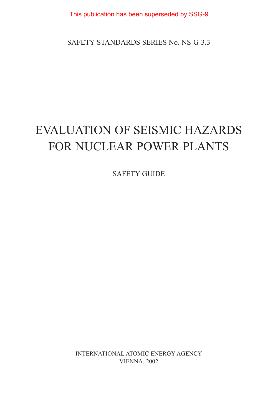SAFETY STANDARDS SERIES No. NS-G-3.3

# EVALUATION OF SEISMIC HAZARDS FOR NUCLEAR POWER PLANTS

SAFETY GUIDE

INTERNATIONAL ATOMIC ENERGY AGENCY VIENNA, 2002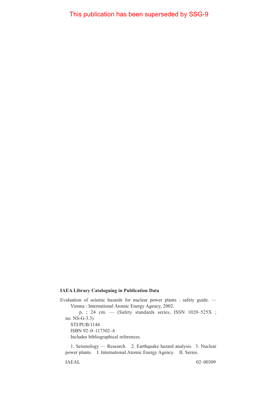#### **IAEA Library Cataloguing in Publication Data**

Evaluation of seismic hazards for nuclear power plants : safety guide. — Vienna : International Atomic Energy Agency, 2002. p. ; 24 cm. — (Safety standards series, ISSN 1020–525X ; no. NS-G-3.3) STI/PUB/1144 ISBN 92–0–117302–4 Includes bibliographical references.

1. Seismology — Research. 2. Earthquake hazard analysis. 3. Nuclear power plants. I. International Atomic Energy Agency. II. Series.

IAEAL 02–00309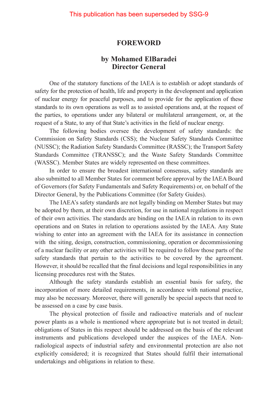#### **FOREWORD**

#### **by Mohamed ElBaradei Director General**

One of the statutory functions of the IAEA is to establish or adopt standards of safety for the protection of health, life and property in the development and application of nuclear energy for peaceful purposes, and to provide for the application of these standards to its own operations as well as to assisted operations and, at the request of the parties, to operations under any bilateral or multilateral arrangement, or, at the request of a State, to any of that State's activities in the field of nuclear energy.

The following bodies oversee the development of safety standards: the Commission on Safety Standards (CSS); the Nuclear Safety Standards Committee (NUSSC); the Radiation Safety Standards Committee (RASSC); the Transport Safety Standards Committee (TRANSSC); and the Waste Safety Standards Committee (WASSC). Member States are widely represented on these committees.

In order to ensure the broadest international consensus, safety standards are also submitted to all Member States for comment before approval by the IAEA Board of Governors (for Safety Fundamentals and Safety Requirements) or, on behalf of the Director General, by the Publications Committee (for Safety Guides).

The IAEA's safety standards are not legally binding on Member States but may be adopted by them, at their own discretion, for use in national regulations in respect of their own activities. The standards are binding on the IAEA in relation to its own operations and on States in relation to operations assisted by the IAEA. Any State wishing to enter into an agreement with the IAEA for its assistance in connection with the siting, design, construction, commissioning, operation or decommissioning of a nuclear facility or any other activities will be required to follow those parts of the safety standards that pertain to the activities to be covered by the agreement. However, it should be recalled that the final decisions and legal responsibilities in any licensing procedures rest with the States.

Although the safety standards establish an essential basis for safety, the incorporation of more detailed requirements, in accordance with national practice, may also be necessary. Moreover, there will generally be special aspects that need to be assessed on a case by case basis.

The physical protection of fissile and radioactive materials and of nuclear power plants as a whole is mentioned where appropriate but is not treated in detail; obligations of States in this respect should be addressed on the basis of the relevant instruments and publications developed under the auspices of the IAEA. Nonradiological aspects of industrial safety and environmental protection are also not explicitly considered; it is recognized that States should fulfil their international undertakings and obligations in relation to these.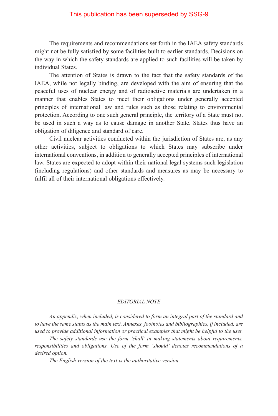The requirements and recommendations set forth in the IAEA safety standards might not be fully satisfied by some facilities built to earlier standards. Decisions on the way in which the safety standards are applied to such facilities will be taken by individual States.

The attention of States is drawn to the fact that the safety standards of the IAEA, while not legally binding, are developed with the aim of ensuring that the peaceful uses of nuclear energy and of radioactive materials are undertaken in a manner that enables States to meet their obligations under generally accepted principles of international law and rules such as those relating to environmental protection. According to one such general principle, the territory of a State must not be used in such a way as to cause damage in another State. States thus have an obligation of diligence and standard of care.

Civil nuclear activities conducted within the jurisdiction of States are, as any other activities, subject to obligations to which States may subscribe under international conventions, in addition to generally accepted principles of international law. States are expected to adopt within their national legal systems such legislation (including regulations) and other standards and measures as may be necessary to fulfil all of their international obligations effectively.

#### *EDITORIAL NOTE*

*An appendix, when included, is considered to form an integral part of the standard and to have the same status as the main text. Annexes, footnotes and bibliographies, if included, are used to provide additional information or practical examples that might be helpful to the user.*

*The safety standards use the form 'shall' in making statements about requirements, responsibilities and obligations. Use of the form 'should' denotes recommendations of a desired option.*

*The English version of the text is the authoritative version.*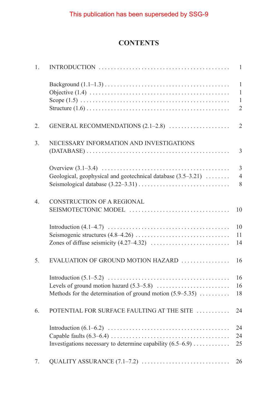# **CONTENTS**

| 1. |                                                              | $\mathbf{1}$                                                   |
|----|--------------------------------------------------------------|----------------------------------------------------------------|
|    |                                                              | $\mathbf{1}$<br>$\mathbf{1}$<br>$\mathbf{1}$<br>$\overline{2}$ |
| 2. | GENERAL RECOMMENDATIONS (2.1-2.8)                            | $\overline{2}$                                                 |
| 3. | NECESSARY INFORMATION AND INVESTIGATIONS                     | 3                                                              |
|    | Geological, geophysical and geotechnical database (3.5–3.21) | $\overline{3}$<br>$\overline{4}$<br>8                          |
| 4. | CONSTRUCTION OF A REGIONAL                                   | 10                                                             |
|    |                                                              | 10<br>11<br>14                                                 |
| 5. | EVALUATION OF GROUND MOTION HAZARD                           | 16                                                             |
|    | Methods for the determination of ground motion $(5.9-5.35)$  | 16<br>16<br>18                                                 |
| 6. | POTENTIAL FOR SURFACE FAULTING AT THE SITE                   | 24                                                             |
|    | Investigations necessary to determine capability $(6.5-6.9)$ | 24<br>24<br>25                                                 |
| 7. |                                                              | 26                                                             |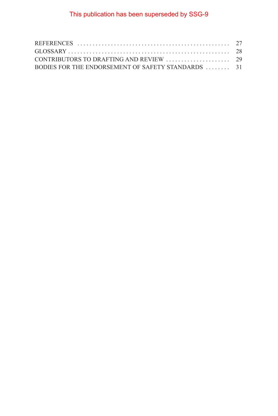| BODIES FOR THE ENDORSEMENT OF SAFETY STANDARDS  31 |  |
|----------------------------------------------------|--|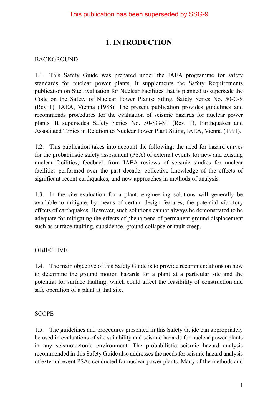# **1. INTRODUCTION**

#### BACKGROUND

1.1. This Safety Guide was prepared under the IAEA programme for safety standards for nuclear power plants. It supplements the Safety Requirements publication on Site Evaluation for Nuclear Facilities that is planned to supersede the Code on the Safety of Nuclear Power Plants: Siting, Safety Series No. 50-C-S (Rev. 1), IAEA, Vienna (1988). The present publication provides guidelines and recommends procedures for the evaluation of seismic hazards for nuclear power plants. It supersedes Safety Series No. 50-SG-S1 (Rev. 1), Earthquakes and Associated Topics in Relation to Nuclear Power Plant Siting, IAEA, Vienna (1991).

1.2. This publication takes into account the following: the need for hazard curves for the probabilistic safety assessment (PSA) of external events for new and existing nuclear facilities; feedback from IAEA reviews of seismic studies for nuclear facilities performed over the past decade; collective knowledge of the effects of significant recent earthquakes; and new approaches in methods of analysis.

1.3. In the site evaluation for a plant, engineering solutions will generally be available to mitigate, by means of certain design features, the potential vibratory effects of earthquakes. However, such solutions cannot always be demonstrated to be adequate for mitigating the effects of phenomena of permanent ground displacement such as surface faulting, subsidence, ground collapse or fault creep.

#### OBJECTIVE

1.4. The main objective of this Safety Guide is to provide recommendations on how to determine the ground motion hazards for a plant at a particular site and the potential for surface faulting, which could affect the feasibility of construction and safe operation of a plant at that site.

#### **SCOPE**

1.5. The guidelines and procedures presented in this Safety Guide can appropriately be used in evaluations of site suitability and seismic hazards for nuclear power plants in any seismotectonic environment. The probabilistic seismic hazard analysis recommended in this Safety Guide also addresses the needs for seismic hazard analysis of external event PSAs conducted for nuclear power plants. Many of the methods and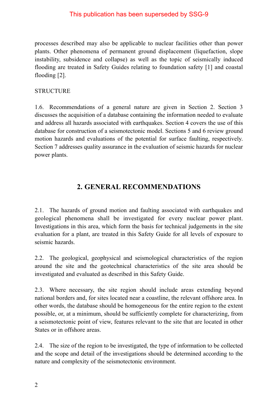processes described may also be applicable to nuclear facilities other than power plants. Other phenomena of permanent ground displacement (liquefaction, slope instability, subsidence and collapse) as well as the topic of seismically induced flooding are treated in Safety Guides relating to foundation safety [1] and coastal flooding [2].

#### **STRUCTURE**

1.6. Recommendations of a general nature are given in Section 2. Section 3 discusses the acquisition of a database containing the information needed to evaluate and address all hazards associated with earthquakes. Section 4 covers the use of this database for construction of a seismotectonic model. Sections 5 and 6 review ground motion hazards and evaluations of the potential for surface faulting, respectively. Section 7 addresses quality assurance in the evaluation of seismic hazards for nuclear power plants.

## **2. GENERAL RECOMMENDATIONS**

2.1. The hazards of ground motion and faulting associated with earthquakes and geological phenomena shall be investigated for every nuclear power plant. Investigations in this area, which form the basis for technical judgements in the site evaluation for a plant, are treated in this Safety Guide for all levels of exposure to seismic hazards.

2.2. The geological, geophysical and seismological characteristics of the region around the site and the geotechnical characteristics of the site area should be investigated and evaluated as described in this Safety Guide.

2.3. Where necessary, the site region should include areas extending beyond national borders and, for sites located near a coastline, the relevant offshore area. In other words, the database should be homogeneous for the entire region to the extent possible, or, at a minimum, should be sufficiently complete for characterizing, from a seismotectonic point of view, features relevant to the site that are located in other States or in offshore areas.

2.4. The size of the region to be investigated, the type of information to be collected and the scope and detail of the investigations should be determined according to the nature and complexity of the seismotectonic environment.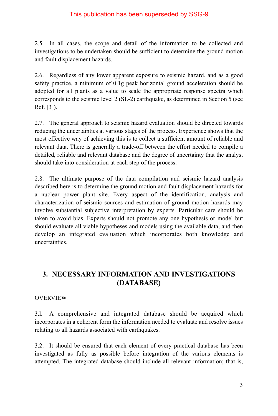2.5. In all cases, the scope and detail of the information to be collected and investigations to be undertaken should be sufficient to determine the ground motion and fault displacement hazards.

2.6. Regardless of any lower apparent exposure to seismic hazard, and as a good safety practice, a minimum of 0.1g peak horizontal ground acceleration should be adopted for all plants as a value to scale the appropriate response spectra which corresponds to the seismic level 2 (SL-2) earthquake, as determined in Section 5 (see Ref. [3]).

2.7. The general approach to seismic hazard evaluation should be directed towards reducing the uncertainties at various stages of the process. Experience shows that the most effective way of achieving this is to collect a sufficient amount of reliable and relevant data. There is generally a trade-off between the effort needed to compile a detailed, reliable and relevant database and the degree of uncertainty that the analyst should take into consideration at each step of the process.

2.8. The ultimate purpose of the data compilation and seismic hazard analysis described here is to determine the ground motion and fault displacement hazards for a nuclear power plant site. Every aspect of the identification, analysis and characterization of seismic sources and estimation of ground motion hazards may involve substantial subjective interpretation by experts. Particular care should be taken to avoid bias. Experts should not promote any one hypothesis or model but should evaluate all viable hypotheses and models using the available data, and then develop an integrated evaluation which incorporates both knowledge and uncertainties.

# **3. NECESSARY INFORMATION AND INVESTIGATIONS (DATABASE)**

#### OVERVIEW

3.l. A comprehensive and integrated database should be acquired which incorporates in a coherent form the information needed to evaluate and resolve issues relating to all hazards associated with earthquakes.

3.2. It should be ensured that each element of every practical database has been investigated as fully as possible before integration of the various elements is attempted. The integrated database should include all relevant information; that is,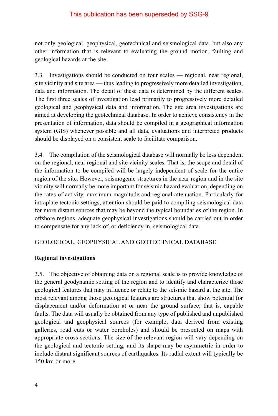not only geological, geophysical, geotechnical and seismological data, but also any other information that is relevant to evaluating the ground motion, faulting and geological hazards at the site.

3.3. Investigations should be conducted on four scales — regional, near regional, site vicinity and site area — thus leading to progressively more detailed investigation, data and information. The detail of these data is determined by the different scales. The first three scales of investigation lead primarily to progressively more detailed geological and geophysical data and information. The site area investigations are aimed at developing the geotechnical database. In order to achieve consistency in the presentation of information, data should be compiled in a geographical information system (GIS) whenever possible and all data, evaluations and interpreted products should be displayed on a consistent scale to facilitate comparison.

3.4. The compilation of the seismological database will normally be less dependent on the regional, near regional and site vicinity scales. That is, the scope and detail of the information to be compiled will be largely independent of scale for the entire region of the site. However, seismogenic structures in the near region and in the site vicinity will normally be more important for seismic hazard evaluation, depending on the rates of activity, maximum magnitude and regional attenuation. Particularly for intraplate tectonic settings, attention should be paid to compiling seismological data for more distant sources that may be beyond the typical boundaries of the region. In offshore regions, adequate geophysical investigations should be carried out in order to compensate for any lack of, or deficiency in, seismological data.

#### GEOLOGICAL, GEOPHYSICAL AND GEOTECHNICAL DATABASE

#### **Regional investigations**

3.5. The objective of obtaining data on a regional scale is to provide knowledge of the general geodynamic setting of the region and to identify and characterize those geological features that may influence or relate to the seismic hazard at the site. The most relevant among those geological features are structures that show potential for displacement and/or deformation at or near the ground surface; that is, capable faults. The data will usually be obtained from any type of published and unpublished geological and geophysical sources (for example, data derived from existing galleries, road cuts or water boreholes) and should be presented on maps with appropriate cross-sections. The size of the relevant region will vary depending on the geological and tectonic setting, and its shape may be asymmetric in order to include distant significant sources of earthquakes. Its radial extent will typically be 150 km or more.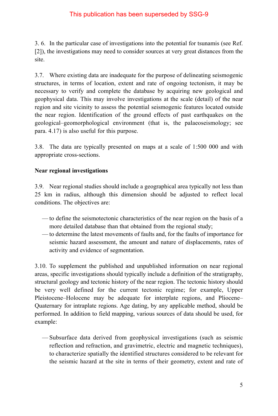3. 6. In the particular case of investigations into the potential for tsunamis (see Ref. [2]), the investigations may need to consider sources at very great distances from the site.

3.7. Where existing data are inadequate for the purpose of delineating seismogenic structures, in terms of location, extent and rate of ongoing tectonism, it may be necessary to verify and complete the database by acquiring new geological and geophysical data. This may involve investigations at the scale (detail) of the near region and site vicinity to assess the potential seismogenic features located outside the near region. Identification of the ground effects of past earthquakes on the geological–geomorphological environment (that is, the palaeoseismology; see para. 4.17) is also useful for this purpose.

3.8. The data are typically presented on maps at a scale of 1:500 000 and with appropriate cross-sections.

#### **Near regional investigations**

3.9. Near regional studies should include a geographical area typically not less than 25 km in radius, although this dimension should be adjusted to reflect local conditions. The objectives are:

- to define the seismotectonic characteristics of the near region on the basis of a more detailed database than that obtained from the regional study;
- to determine the latest movements of faults and, for the faults of importance for seismic hazard assessment, the amount and nature of displacements, rates of activity and evidence of segmentation.

3.10. To supplement the published and unpublished information on near regional areas, specific investigations should typically include a definition of the stratigraphy, structural geology and tectonic history of the near region. The tectonic history should be very well defined for the current tectonic regime; for example, Upper Pleistocene–Holocene may be adequate for interplate regions, and Pliocene– Quaternary for intraplate regions. Age dating, by any applicable method, should be performed. In addition to field mapping, various sources of data should be used, for example:

— Subsurface data derived from geophysical investigations (such as seismic reflection and refraction, and gravimetric, electric and magnetic techniques), to characterize spatially the identified structures considered to be relevant for the seismic hazard at the site in terms of their geometry, extent and rate of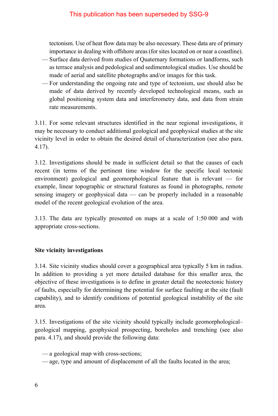tectonism. Use of heat flow data may be also necessary. These data are of primary importance in dealing with offshore areas (for sites located on or near a coastline).

- Surface data derived from studies of Quaternary formations or landforms, such as terrace analysis and pedological and sedimentological studies. Use should be made of aerial and satellite photographs and/or images for this task.
- For understanding the ongoing rate and type of tectonism, use should also be made of data derived by recently developed technological means, such as global positioning system data and interferometry data, and data from strain rate measurements.

3.11. For some relevant structures identified in the near regional investigations, it may be necessary to conduct additional geological and geophysical studies at the site vicinity level in order to obtain the desired detail of characterization (see also para. 4.17).

3.12. Investigations should be made in sufficient detail so that the causes of each recent (in terms of the pertinent time window for the specific local tectonic environment) geological and geomorphological feature that is relevant — for example, linear topographic or structural features as found in photographs, remote sensing imagery or geophysical data — can be properly included in a reasonable model of the recent geological evolution of the area.

3.13. The data are typically presented on maps at a scale of 1:50 000 and with appropriate cross-sections.

#### **Site vicinity investigations**

3.14. Site vicinity studies should cover a geographical area typically 5 km in radius. In addition to providing a yet more detailed database for this smaller area, the objective of these investigations is to define in greater detail the neotectonic history of faults, especially for determining the potential for surface faulting at the site (fault capability), and to identify conditions of potential geological instability of the site area.

3.15. Investigations of the site vicinity should typically include geomorphological– geological mapping, geophysical prospecting, boreholes and trenching (see also para. 4.17), and should provide the following data:

— a geological map with cross-sections;

— age, type and amount of displacement of all the faults located in the area;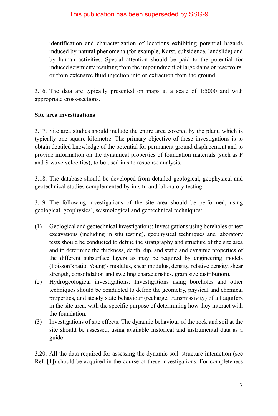— identification and characterization of locations exhibiting potential hazards induced by natural phenomena (for example, Karst, subsidence, landslide) and by human activities. Special attention should be paid to the potential for induced seismicity resulting from the impoundment of large dams or reservoirs, or from extensive fluid injection into or extraction from the ground.

3.16. The data are typically presented on maps at a scale of 1:5000 and with appropriate cross-sections.

#### **Site area investigations**

3.17. Site area studies should include the entire area covered by the plant, which is typically one square kilometre. The primary objective of these investigations is to obtain detailed knowledge of the potential for permanent ground displacement and to provide information on the dynamical properties of foundation materials (such as P and S wave velocities), to be used in site response analysis.

3.18. The database should be developed from detailed geological, geophysical and geotechnical studies complemented by in situ and laboratory testing.

3.19. The following investigations of the site area should be performed, using geological, geophysical, seismological and geotechnical techniques:

- (1) Geological and geotechnical investigations: Investigations using boreholes or test excavations (including in situ testing), geophysical techniques and laboratory tests should be conducted to define the stratigraphy and structure of the site area and to determine the thickness, depth, dip, and static and dynamic properties of the different subsurface layers as may be required by engineering models (Poisson's ratio, Young's modulus, shear modulus, density, relative density, shear strength, consolidation and swelling characteristics, grain size distribution).
- (2) Hydrogeological investigations: Investigations using boreholes and other techniques should be conducted to define the geometry, physical and chemical properties, and steady state behaviour (recharge, transmissivity) of all aquifers in the site area, with the specific purpose of determining how they interact with the foundation.
- (3) Investigations of site effects: The dynamic behaviour of the rock and soil at the site should be assessed, using available historical and instrumental data as a guide.

3.20. All the data required for assessing the dynamic soil–structure interaction (see Ref. [1]) should be acquired in the course of these investigations. For completeness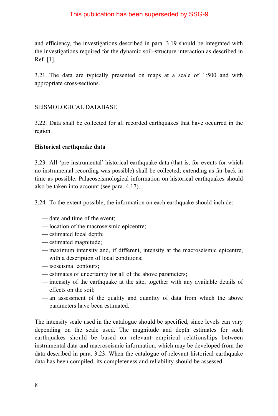and efficiency, the investigations described in para. 3.19 should be integrated with the investigations required for the dynamic soil–structure interaction as described in Ref. [1].

3.21. The data are typically presented on maps at a scale of 1:500 and with appropriate cross-sections.

#### SEISMOLOGICAL DATABASE

3.22. Data shall be collected for all recorded earthquakes that have occurred in the region.

#### **Historical earthquake data**

3.23. All 'pre-instrumental' historical earthquake data (that is, for events for which no instrumental recording was possible) shall be collected, extending as far back in time as possible. Palaeoseismological information on historical earthquakes should also be taken into account (see para. 4.17).

3.24. To the extent possible, the information on each earthquake should include:

- date and time of the event;
- location of the macroseismic epicentre;
- estimated focal depth;
- estimated magnitude;
- maximum intensity and, if different, intensity at the macroseismic epicentre, with a description of local conditions;
- isoseismal contours;
- estimates of uncertainty for all of the above parameters;
- intensity of the earthquake at the site, together with any available details of effects on the soil;
- an assessment of the quality and quantity of data from which the above parameters have been estimated.

The intensity scale used in the catalogue should be specified, since levels can vary depending on the scale used. The magnitude and depth estimates for such earthquakes should be based on relevant empirical relationships between instrumental data and macroseismic information, which may be developed from the data described in para. 3.23. When the catalogue of relevant historical earthquake data has been compiled, its completeness and reliability should be assessed.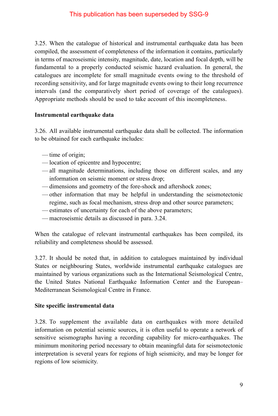3.25. When the catalogue of historical and instrumental earthquake data has been compiled, the assessment of completeness of the information it contains, particularly in terms of macroseismic intensity, magnitude, date, location and focal depth, will be fundamental to a properly conducted seismic hazard evaluation. In general, the catalogues are incomplete for small magnitude events owing to the threshold of recording sensitivity, and for large magnitude events owing to their long recurrence intervals (and the comparatively short period of coverage of the catalogues). Appropriate methods should be used to take account of this incompleteness.

#### **Instrumental earthquake data**

3.26. All available instrumental earthquake data shall be collected. The information to be obtained for each earthquake includes:

- time of origin;
- location of epicentre and hypocentre;
- all magnitude determinations, including those on different scales, and any information on seismic moment or stress drop;
- dimensions and geometry of the fore-shock and aftershock zones;
- other information that may be helpful in understanding the seismotectonic regime, such as focal mechanism, stress drop and other source parameters;
- estimates of uncertainty for each of the above parameters;
- macroseismic details as discussed in para. 3.24.

When the catalogue of relevant instrumental earthquakes has been compiled, its reliability and completeness should be assessed.

3.27. It should be noted that, in addition to catalogues maintained by individual States or neighbouring States, worldwide instrumental earthquake catalogues are maintained by various organizations such as the International Seismological Centre, the United States National Earthquake Information Center and the European– Mediterranean Seismological Centre in France.

#### **Site specific instrumental data**

3.28. To supplement the available data on earthquakes with more detailed information on potential seismic sources, it is often useful to operate a network of sensitive seismographs having a recording capability for micro-earthquakes. The minimum monitoring period necessary to obtain meaningful data for seismotectonic interpretation is several years for regions of high seismicity, and may be longer for regions of low seismicity.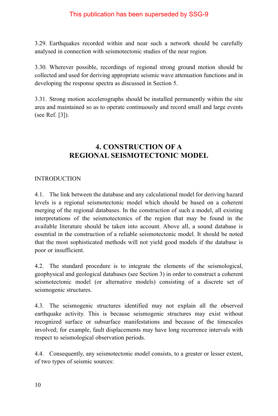3.29. Earthquakes recorded within and near such a network should be carefully analysed in connection with seismotectonic studies of the near region.

3.30. Wherever possible, recordings of regional strong ground motion should be collected and used for deriving appropriate seismic wave attenuation functions and in developing the response spectra as discussed in Section 5.

3.31. Strong motion accelerographs should be installed permanently within the site area and maintained so as to operate continuously and record small and large events (see Ref. [3]).

# **4. CONSTRUCTION OF A REGIONAL SEISMOTECTONIC MODEL**

#### INTRODUCTION

4.1. The link between the database and any calculational model for deriving hazard levels is a regional seismotectonic model which should be based on a coherent merging of the regional databases. In the construction of such a model, all existing interpretations of the seismotectonics of the region that may be found in the available literature should be taken into account. Above all, a sound database is essential in the construction of a reliable seismotectonic model. It should be noted that the most sophisticated methods will not yield good models if the database is poor or insufficient.

4.2. The standard procedure is to integrate the elements of the seismological, geophysical and geological databases (see Section 3) in order to construct a coherent seismotectonic model (or alternative models) consisting of a discrete set of seismogenic structures.

4.3. The seismogenic structures identified may not explain all the observed earthquake activity. This is because seismogenic structures may exist without recognized surface or subsurface manifestations and because of the timescales involved; for example, fault displacements may have long recurrence intervals with respect to seismological observation periods.

4.4. Consequently, any seismotectonic model consists, to a greater or lesser extent, of two types of seismic sources: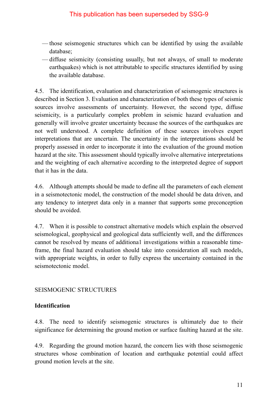- those seismogenic structures which can be identified by using the available database;
- diffuse seismicity (consisting usually, but not always, of small to moderate earthquakes) which is not attributable to specific structures identified by using the available database.

4.5. The identification, evaluation and characterization of seismogenic structures is described in Section 3. Evaluation and characterization of both these types of seismic sources involve assessments of uncertainty. However, the second type, diffuse seismicity, is a particularly complex problem in seismic hazard evaluation and generally will involve greater uncertainty because the sources of the earthquakes are not well understood. A complete definition of these sources involves expert interpretations that are uncertain. The uncertainty in the interpretations should be properly assessed in order to incorporate it into the evaluation of the ground motion hazard at the site. This assessment should typically involve alternative interpretations and the weighting of each alternative according to the interpreted degree of support that it has in the data.

4.6. Although attempts should be made to define all the parameters of each element in a seismotectonic model, the construction of the model should be data driven, and any tendency to interpret data only in a manner that supports some preconception should be avoided.

4.7. When it is possible to construct alternative models which explain the observed seismological, geophysical and geological data sufficiently well, and the differences cannot be resolved by means of additiona1 investigations within a reasonable timeframe, the final hazard evaluation should take into consideration all such models, with appropriate weights, in order to fully express the uncertainty contained in the seismotectonic model.

#### SEISMOGENIC STRUCTURES

#### **Identification**

4.8. The need to identify seismogenic structures is ultimately due to their significance for determining the ground motion or surface faulting hazard at the site.

4.9. Regarding the ground motion hazard, the concern lies with those seismogenic structures whose combination of location and earthquake potential could affect ground motion levels at the site.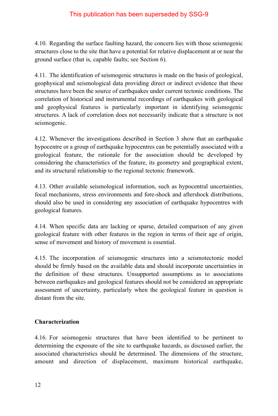4.10. Regarding the surface faulting hazard, the concern lies with those seismogenic structures close to the site that have a potential for relative displacement at or near the ground surface (that is, capable faults; see Section 6).

4.11. The identification of seismogenic structures is made on the basis of geological, geophysical and seismological data providing direct or indirect evidence that these structures have been the source of earthquakes under current tectonic conditions. The correlation of historical and instrumental recordings of earthquakes with geological and geophysical features is particularly important in identifying seismogenic structures. A lack of correlation does not necessarily indicate that a structure is not seismogenic.

4.12. Whenever the investigations described in Section 3 show that an earthquake hypocentre or a group of earthquake hypocentres can be potentially associated with a geological feature, the rationale for the association should be developed by considering the characteristics of the feature, its geometry and geographical extent, and its structural relationship to the regional tectonic framework.

4.13. Other available seismological information, such as hypocentral uncertainties, focal mechanisms, stress environments and fore-shock and aftershock distributions, should also be used in considering any association of earthquake hypocentres with geological features.

4.14. When specific data are lacking or sparse, detailed comparison of any given geological feature with other features in the region in terms of their age of origin, sense of movement and history of movement is essential.

4.15. The incorporation of seismogenic structures into a seismotectonic model should be firmly based on the available data and should incorporate uncertainties in the definition of these structures. Unsupported assumptions as to associations between earthquakes and geological features should not be considered an appropriate assessment of uncertainty, particularly when the geological feature in question is distant from the site.

#### **Characterization**

4.16. For seismogenic structures that have been identified to be pertinent to determining the exposure of the site to earthquake hazards, as discussed earlier, the associated characteristics should be determined. The dimensions of the structure, amount and direction of displacement, maximum historical earthquake,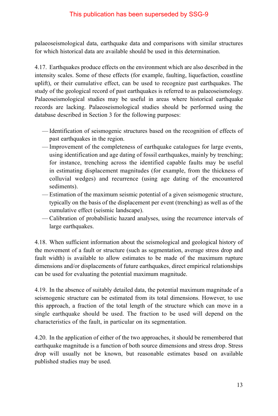palaeoseismological data, earthquake data and comparisons with similar structures for which historical data are available should be used in this determination.

4.17. Earthquakes produce effects on the environment which are also described in the intensity scales. Some of these effects (for example, faulting, liquefaction, coastline uplift), or their cumulative effect, can be used to recognize past earthquakes. The study of the geological record of past earthquakes is referred to as palaeoseismology. Palaeoseismological studies may be useful in areas where historical earthquake records are lacking. Palaeoseismological studies should be performed using the database described in Section 3 for the following purposes:

- Identification of seismogenic structures based on the recognition of effects of past earthquakes in the region.
- Improvement of the completeness of earthquake catalogues for large events, using identification and age dating of fossil earthquakes, mainly by trenching; for instance, trenching across the identified capable faults may be useful in estimating displacement magnitudes (for example, from the thickness of colluvial wedges) and recurrence (using age dating of the encountered sediments).
- Estimation of the maximum seismic potential of a given seismogenic structure, typically on the basis of the displacement per event (trenching) as well as of the cumulative effect (seismic landscape).
- Calibration of probabilistic hazard analyses, using the recurrence intervals of large earthquakes.

4.18. When sufficient information about the seismological and geological history of the movement of a fault or structure (such as segmentation, average stress drop and fault width) is available to allow estimates to be made of the maximum rupture dimensions and/or displacements of future earthquakes, direct empirical relationships can be used for evaluating the potential maximum magnitude.

4.19. In the absence of suitably detailed data, the potential maximum magnitude of a seismogenic structure can be estimated from its total dimensions. However, to use this approach, a fraction of the total length of the structure which can move in a single earthquake should be used. The fraction to be used will depend on the characteristics of the fault, in particular on its segmentation.

4.20. In the application of either of the two approaches, it should be remembered that earthquake magnitude is a function of both source dimensions and stress drop. Stress drop will usually not be known, but reasonable estimates based on available published studies may be used.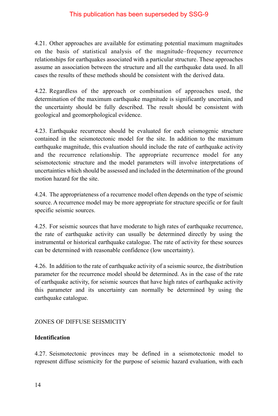4.21. Other approaches are available for estimating potential maximum magnitudes on the basis of statistical analysis of the magnitude–frequency recurrence relationships for earthquakes associated with a particular structure. These approaches assume an association between the structure and all the earthquake data used. In all cases the results of these methods should be consistent with the derived data.

4.22. Regardless of the approach or combination of approaches used, the determination of the maximum earthquake magnitude is significantly uncertain, and the uncertainty should be fully described. The result should be consistent with geological and geomorphological evidence.

4.23. Earthquake recurrence should be evaluated for each seismogenic structure contained in the seismotectonic model for the site. In addition to the maximum earthquake magnitude, this evaluation should include the rate of earthquake activity and the recurrence relationship. The appropriate recurrence model for any seismotectonic structure and the model parameters will involve interpretations of uncertainties which should be assessed and included in the determination of the ground motion hazard for the site.

4.24. The appropriateness of a recurrence model often depends on the type of seismic source. A recurrence model may be more appropriate for structure specific or for fault specific seismic sources.

4.25. For seismic sources that have moderate to high rates of earthquake recurrence, the rate of earthquake activity can usually be determined directly by using the instrumental or historical earthquake catalogue. The rate of activity for these sources can be determined with reasonable confidence (low uncertainty).

4.26. In addition to the rate of earthquake activity of a seismic source, the distribution parameter for the recurrence model should be determined. As in the case of the rate of earthquake activity, for seismic sources that have high rates of earthquake activity this parameter and its uncertainty can normally be determined by using the earthquake catalogue.

#### ZONES OF DIFFUSE SEISMICITY

#### **Identification**

4.27. Seismotectonic provinces may be defined in a seismotectonic model to represent diffuse seismicity for the purpose of seismic hazard evaluation, with each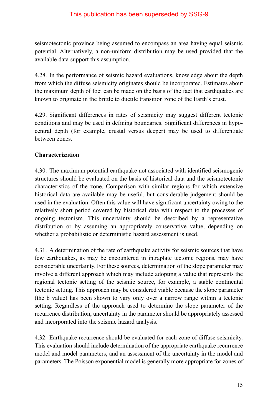seismotectonic province being assumed to encompass an area having equal seismic potential. Alternatively, a non-uniform distribution may be used provided that the available data support this assumption.

4.28. In the performance of seismic hazard evaluations, knowledge about the depth from which the diffuse seismicity originates should be incorporated. Estimates about the maximum depth of foci can be made on the basis of the fact that earthquakes are known to originate in the brittle to ductile transition zone of the Earth's crust.

4.29. Significant differences in rates of seismicity may suggest different tectonic conditions and may be used in defining boundaries. Significant differences in hypocentral depth (for example, crustal versus deeper) may be used to differentiate between zones.

#### **Characterization**

4.30. The maximum potential earthquake not associated with identified seismogenic structures should be evaluated on the basis of historical data and the seismotectonic characteristics of the zone. Comparison with similar regions for which extensive historical data are available may be useful, but considerable judgement should be used in the evaluation. Often this value will have significant uncertainty owing to the relatively short period covered by historical data with respect to the processes of ongoing tectonism. This uncertainty should be described by a representative distribution or by assuming an appropriately conservative value, depending on whether a probabilistic or deterministic hazard assessment is used.

4.31. A determination of the rate of earthquake activity for seismic sources that have few earthquakes, as may be encountered in intraplate tectonic regions, may have considerable uncertainty. For these sources, determination of the slope parameter may involve a different approach which may include adopting a value that represents the regional tectonic setting of the seismic source, for example, a stable continental tectonic setting. This approach may be considered viable because the slope parameter (the b value) has been shown to vary only over a narrow range within a tectonic setting. Regardless of the approach used to determine the slope parameter of the recurrence distribution, uncertainty in the parameter should be appropriately assessed and incorporated into the seismic hazard analysis.

4.32. Earthquake recurrence should be evaluated for each zone of diffuse seismicity. This evaluation should include determination of the appropriate earthquake recurrence model and model parameters, and an assessment of the uncertainty in the model and parameters. The Poisson exponential model is generally more appropriate for zones of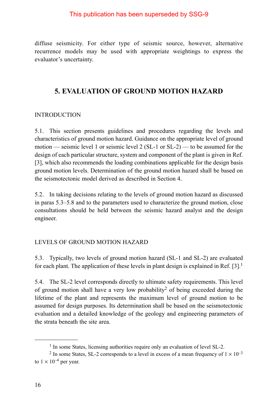diffuse seismicity. For either type of seismic source, however, alternative recurrence models may be used with appropriate weightings to express the evaluator's uncertainty.

# **5. EVALUATION OF GROUND MOTION HAZARD**

#### INTRODUCTION

5.1. This section presents guidelines and procedures regarding the levels and characteristics of ground motion hazard. Guidance on the appropriate level of ground motion — seismic level 1 or seismic level 2 (SL-1 or SL-2) — to be assumed for the design of each particular structure, system and component of the plant is given in Ref. [3], which also recommends the loading combinations applicable for the design basis ground motion levels. Determination of the ground motion hazard shall be based on the seismotectonic model derived as described in Section 4.

5.2. In taking decisions relating to the levels of ground motion hazard as discussed in paras 5.3–5.8 and to the parameters used to characterize the ground motion, close consultations should be held between the seismic hazard analyst and the design engineer.

#### LEVELS OF GROUND MOTION HAZARD

5.3. Typically, two levels of ground motion hazard (SL-1 and SL-2) are evaluated for each plant. The application of these levels in plant design is explained in Ref.  $[3]$ .<sup>1</sup>

5.4. The SL-2 level corresponds directly to ultimate safety requirements. This level of ground motion shall have a very low probability<sup>2</sup> of being exceeded during the lifetime of the plant and represents the maximum level of ground motion to be assumed for design purposes. Its determination shall be based on the seismotectonic evaluation and a detailed knowledge of the geology and engineering parameters of the strata beneath the site area.

<sup>&</sup>lt;sup>1</sup> In some States, licensing authorities require only an evaluation of level SL-2.

<sup>&</sup>lt;sup>2</sup> In some States, SL-2 corresponds to a level in excess of a mean frequency of  $1 \times 10^{-3}$ to  $1 \times 10^{-4}$  per year.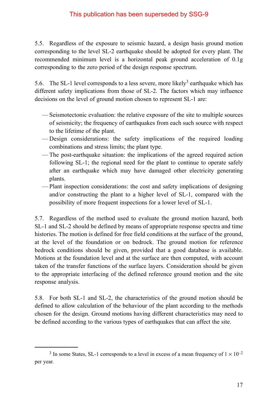5.5. Regardless of the exposure to seismic hazard, a design basis ground motion corresponding to the level SL-2 earthquake should be adopted for every plant. The recommended minimum level is a horizontal peak ground acceleration of 0.1g corresponding to the zero period of the design response spectrum.

5.6. The SL-1 level corresponds to a less severe, more likely<sup>3</sup> earthquake which has different safety implications from those of SL-2. The factors which may influence decisions on the level of ground motion chosen to represent SL-1 are:

- Seismotectonic evaluation: the relative exposure of the site to multiple sources of seismicity; the frequency of earthquakes from each such source with respect to the lifetime of the plant.
- Design considerations: the safety implications of the required loading combinations and stress limits; the plant type.
- The post-earthquake situation: the implications of the agreed required action following SL-1; the regional need for the plant to continue to operate safely after an earthquake which may have damaged other electricity generating plants.
- Plant inspection considerations: the cost and safety implications of designing and/or constructing the plant to a higher level of SL-1, compared with the possibility of more frequent inspections for a lower level of SL-1.

5.7. Regardless of the method used to evaluate the ground motion hazard, both SL-1 and SL-2 should be defined by means of appropriate response spectra and time histories. The motion is defined for free field conditions at the surface of the ground, at the level of the foundation or on bedrock. The ground motion for reference bedrock conditions should be given, provided that a good database is available. Motions at the foundation level and at the surface are then computed, with account taken of the transfer functions of the surface layers. Consideration should be given to the appropriate interfacing of the defined reference ground motion and the site response analysis.

5.8. For both SL-1 and SL-2, the characteristics of the ground motion should be defined to allow calculation of the behaviour of the plant according to the methods chosen for the design. Ground motions having different characteristics may need to be defined according to the various types of earthquakes that can affect the site.

<sup>&</sup>lt;sup>3</sup> In some States, SL-1 corresponds to a level in excess of a mean frequency of  $1 \times 10^{-2}$ per year.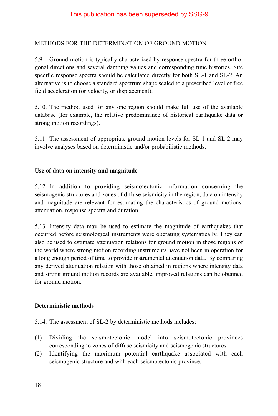#### METHODS FOR THE DETERMINATION OF GROUND MOTION

5.9. Ground motion is typically characterized by response spectra for three orthogonal directions and several damping values and corresponding time histories. Site specific response spectra should be calculated directly for both SL-1 and SL-2. An alternative is to choose a standard spectrum shape scaled to a prescribed level of free field acceleration (or velocity, or displacement).

5.10. The method used for any one region should make full use of the available database (for example, the relative predominance of historical earthquake data or strong motion recordings).

5.11. The assessment of appropriate ground motion levels for SL-1 and SL-2 may involve analyses based on deterministic and/or probabilistic methods.

#### **Use of data on intensity and magnitude**

5.12. In addition to providing seismotectonic information concerning the seismogenic structures and zones of diffuse seismicity in the region, data on intensity and magnitude are relevant for estimating the characteristics of ground motions: attenuation, response spectra and duration.

5.13. Intensity data may be used to estimate the magnitude of earthquakes that occurred before seismological instruments were operating systematically. They can also be used to estimate attenuation relations for ground motion in those regions of the world where strong motion recording instruments have not been in operation for a long enough period of time to provide instrumental attenuation data. By comparing any derived attenuation relation with those obtained in regions where intensity data and strong ground motion records are available, improved relations can be obtained for ground motion.

#### **Deterministic methods**

- 5.14. The assessment of SL-2 by deterministic methods includes:
- (1) Dividing the seismotectonic model into seismotectonic provinces corresponding to zones of diffuse seismicity and seismogenic structures.
- (2) Identifying the maximum potential earthquake associated with each seismogenic structure and with each seismotectonic province.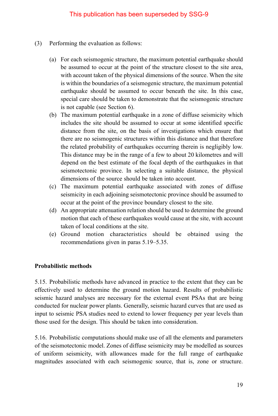- (3) Performing the evaluation as follows:
	- (a) For each seismogenic structure, the maximum potential earthquake should be assumed to occur at the point of the structure closest to the site area, with account taken of the physical dimensions of the source. When the site is within the boundaries of a seismogenic structure, the maximum potential earthquake should be assumed to occur beneath the site. In this case, special care should be taken to demonstrate that the seismogenic structure is not capable (see Section 6).
	- (b) The maximum potential earthquake in a zone of diffuse seismicity which includes the site should be assumed to occur at some identified specific distance from the site, on the basis of investigations which ensure that there are no seismogenic structures within this distance and that therefore the related probability of earthquakes occurring therein is negligibly low. This distance may be in the range of a few to about 20 kilometres and will depend on the best estimate of the focal depth of the earthquakes in that seismotectonic province. In selecting a suitable distance, the physical dimensions of the source should be taken into account.
	- (c) The maximum potential earthquake associated with zones of diffuse seismicity in each adjoining seismotectonic province should be assumed to occur at the point of the province boundary closest to the site.
	- (d) An appropriate attenuation relation should be used to determine the ground motion that each of these earthquakes would cause at the site, with account taken of local conditions at the site.
	- (e) Ground motion characteristics should be obtained using the recommendations given in paras 5.19–5.35.

#### **Probabilistic methods**

5.15. Probabilistic methods have advanced in practice to the extent that they can be effectively used to determine the ground motion hazard. Results of probabilistic seismic hazard analyses are necessary for the external event PSAs that are being conducted for nuclear power plants. Generally, seismic hazard curves that are used as input to seismic PSA studies need to extend to lower frequency per year levels than those used for the design. This should be taken into consideration.

5.16. Probabilistic computations should make use of all the elements and parameters of the seismotectonic model. Zones of diffuse seismicity may be modelled as sources of uniform seismicity, with allowances made for the full range of earthquake magnitudes associated with each seismogenic source, that is, zone or structure.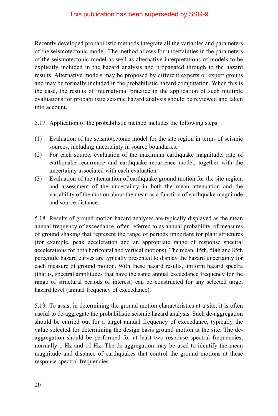Recently developed probabilistic methods integrate all the variables and parameters of the seismotectonic model. The method allows for uncertainties in the parameters of the seismotectonic model as well as alternative interpretations of models to be explicitly included in the hazard analysis and propagated through to the hazard results. Alternative models may be proposed by different experts or expert groups and may be formally included in the probabilistic hazard computation. When this is the case, the results of international practice in the application of such multiple evaluations for probabilistic seismic hazard analysis should be reviewed and taken into account.

5.17. Application of the probabilistic method includes the following steps:

- (1) Evaluation of the seismotectonic model for the site region in terms of seismic sources, including uncertainty in source boundaries.
- (2) For each source, evaluation of the maximum earthquake magnitude, rate of earthquake recurrence and earthquake recurrence model, together with the uncertainty associated with each evaluation.
- (3) Evaluation of the attenuation of earthquake ground motion for the site region, and assessment of the uncertainty in both the mean attenuation and the variability of the motion about the mean as a function of earthquake magnitude and source distance.

5.18. Results of ground motion hazard analyses are typically displayed as the mean annual frequency of exceedance, often referred to as annual probability, of measures of ground shaking that represent the range of periods important for plant structures (for example, peak acceleration and an appropriate range of response spectral accelerations for both horizontal and vertical motions). The mean, 15th, 50th and 85th percentile hazard curves are typically presented to display the hazard uncertainty for each measure of ground motion. With these hazard results, uniform hazard spectra (that is, spectral amplitudes that have the same annual exceedance frequency for the range of structural periods of interest) can be constructed for any selected target hazard level (annual frequency of exceedance).

5.19. To assist in determining the ground motion characteristics at a site, it is often useful to de-aggregate the probabilistic seismic hazard analysis. Such de-aggregation should be carried out for a target annual frequency of exceedance, typically the value selected for determining the design basis ground motion at the site. The deaggregation should be performed for at least two response spectral frequencies, normally 1 Hz and 10 Hz. The de-aggregation may be used to identify the mean magnitude and distance of earthquakes that control the ground motions at these response spectral frequencies.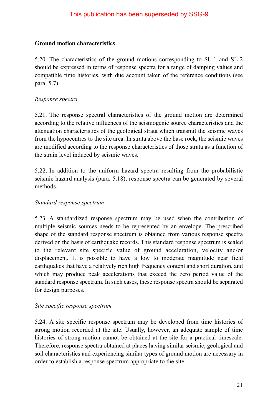#### **Ground motion characteristics**

5.20. The characteristics of the ground motions corresponding to SL-1 and SL-2 should be expressed in terms of response spectra for a range of damping values and compatible time histories, with due account taken of the reference conditions (see para. 5.7).

#### *Response spectra*

5.21. The response spectral characteristics of the ground motion are determined according to the relative influences of the seismogenic source characteristics and the attenuation characteristics of the geological strata which transmit the seismic waves from the hypocentres to the site area. In strata above the base rock, the seismic waves are modified according to the response characteristics of those strata as a function of the strain level induced by seismic waves.

5.22. In addition to the uniform hazard spectra resulting from the probabilistic seismic hazard analysis (para. 5.18), response spectra can be generated by several methods.

#### *Standard response spectrum*

5.23. A standardized response spectrum may be used when the contribution of multiple seismic sources needs to be represented by an envelope. The prescribed shape of the standard response spectrum is obtained from various response spectra derived on the basis of earthquake records. This standard response spectrum is scaled to the relevant site specific value of ground acceleration, velocity and/or displacement. It is possible to have a low to moderate magnitude near field earthquakes that have a relatively rich high frequency content and short duration, and which may produce peak accelerations that exceed the zero period value of the standard response spectrum. In such cases, these response spectra should be separated for design purposes.

#### *Site specific response spectrum*

5.24. A site specific response spectrum may be developed from time histories of strong motion recorded at the site. Usually, however, an adequate sample of time histories of strong motion cannot be obtained at the site for a practical timescale. Therefore, response spectra obtained at places having similar seismic, geological and soil characteristics and experiencing similar types of ground motion are necessary in order to establish a response spectrum appropriate to the site.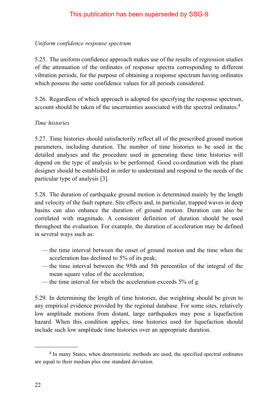#### *Uniform confidence response spectrum*

5.25. The uniform confidence approach makes use of the results of regression studies of the attenuation of the ordinates of response spectra corresponding to different vibration periods, for the purpose of obtaining a response spectrum having ordinates which possess the same confidence values for all periods considered.

5.26. Regardless of which approach is adopted for specifying the response spectrum, account should be taken of the uncertainties associated with the spectral ordinates.4

#### *Time histories*

5.27. Time histories should satisfactorily reflect all of the prescribed ground motion parameters, including duration. The number of time histories to be used in the detailed analyses and the procedure used in generating these time histories will depend on the type of analysis to be performed. Good co-ordination with the plant designer should be established in order to understand and respond to the needs of the particular type of analysis [3].

5.28. The duration of earthquake ground motion is determined mainly by the length and velocity of the fault rupture. Site effects and, in particular, trapped waves in deep basins can also enhance the duration of ground motion. Duration can also be correlated with magnitude. A consistent definition of duration should be used throughout the evaluation. For example, the duration of acceleration may be defined in several ways such as:

- the time interval between the onset of ground motion and the time when the acceleration has declined to 5% of its peak;
- the time interval between the 95th and 5th percentiles of the integral of the mean square value of the acceleration;
- the time interval for which the acceleration exceeds 5% of g.

5.29. In determining the length of time histories, due weighting should be given to any empirical evidence provided by the regional database. For some sites, relatively low amplitude motions from distant, large earthquakes may pose a liquefaction hazard. When this condition applies, time histories used for liquefaction should include such low amplitude time histories over an appropriate duration.

<sup>4</sup> In many States, when deterministic methods are used, the specified spectral ordinates are equal to their median plus one standard deviation.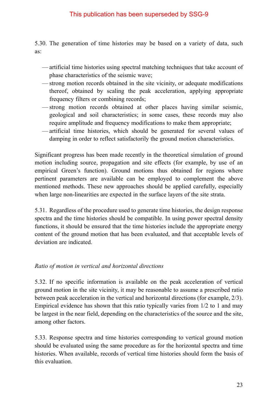5.30. The generation of time histories may be based on a variety of data, such as:

- artificial time histories using spectral matching techniques that take account of phase characteristics of the seismic wave;
- strong motion records obtained in the site vicinity, or adequate modifications thereof, obtained by scaling the peak acceleration, applying appropriate frequency filters or combining records;
- strong motion records obtained at other places having similar seismic, geological and soil characteristics; in some cases, these records may also require amplitude and frequency modifications to make them appropriate;
- artificial time histories, which should be generated for several values of damping in order to reflect satisfactorily the ground motion characteristics.

Significant progress has been made recently in the theoretical simulation of ground motion including source, propagation and site effects (for example, by use of an empirical Green's function). Ground motions thus obtained for regions where pertinent parameters are available can be employed to complement the above mentioned methods. These new approaches should be applied carefully, especially when large non-linearities are expected in the surface layers of the site strata.

5.31. Regardless of the procedure used to generate time histories, the design response spectra and the time histories should be compatible. In using power spectral density functions, it should be ensured that the time histories include the appropriate energy content of the ground motion that has been evaluated, and that acceptable levels of deviation are indicated.

#### *Ratio of motion in vertical and horizontal directions*

5.32. If no specific information is available on the peak acceleration of vertical ground motion in the site vicinity, it may be reasonable to assume a prescribed ratio between peak acceleration in the vertical and horizontal directions (for example, 2/3). Empirical evidence has shown that this ratio typically varies from 1/2 to 1 and may be largest in the near field, depending on the characteristics of the source and the site, among other factors.

5.33. Response spectra and time histories corresponding to vertical ground motion should be evaluated using the same procedure as for the horizontal spectra and time histories. When available, records of vertical time histories should form the basis of this evaluation.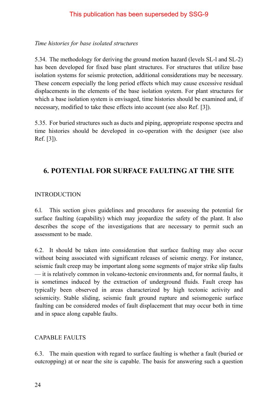#### *Time histories for base isolated structures*

5.34. The methodology for deriving the ground motion hazard (levels SL-l and SL-2) has been developed for fixed base plant structures. For structures that utilize base isolation systems for seismic protection, additional considerations may be necessary. These concern especially the long period effects which may cause excessive residual displacements in the elements of the base isolation system. For plant structures for which a base isolation system is envisaged, time histories should be examined and, if necessary, modified to take these effects into account (see also Ref. [3]).

5.35. For buried structures such as ducts and piping, appropriate response spectra and time histories should be developed in co-operation with the designer (see also Ref. [3]).

# **6. POTENTIAL FOR SURFACE FAULTING AT THE SITE**

#### **INTRODUCTION**

6.l. This section gives guidelines and procedures for assessing the potential for surface faulting (capability) which may jeopardize the safety of the plant. It also describes the scope of the investigations that are necessary to permit such an assessment to be made.

6.2. It should be taken into consideration that surface faulting may also occur without being associated with significant releases of seismic energy. For instance, seismic fault creep may be important along some segments of major strike slip faults — it is relatively common in volcano-tectonic environments and, for normal faults, it is sometimes induced by the extraction of underground fluids. Fault creep has typically been observed in areas characterized by high tectonic activity and seismicity. Stable sliding, seismic fault ground rupture and seismogenic surface faulting can be considered modes of fault displacement that may occur both in time and in space along capable faults.

#### CAPABLE FAULTS

6.3. The main question with regard to surface faulting is whether a fault (buried or outcropping) at or near the site is capable. The basis for answering such a question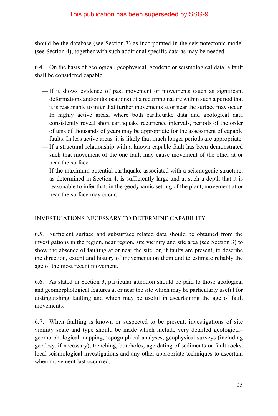should be the database (see Section 3) as incorporated in the seismotectonic model (see Section 4), together with such additional specific data as may be needed.

6.4. On the basis of geological, geophysical, geodetic or seismological data, a fault shall be considered capable:

- If it shows evidence of past movement or movements (such as significant deformations and/or dislocations) of a recurring nature within such a period that it is reasonable to infer that further movements at or near the surface may occur. In highly active areas, where both earthquake data and geological data consistently reveal short earthquake recurrence intervals, periods of the order of tens of thousands of years may be appropriate for the assessment of capable faults. In less active areas, it is likely that much longer periods are appropriate.
- If a structural relationship with a known capable fault has been demonstrated such that movement of the one fault may cause movement of the other at or near the surface.
- If the maximum potential earthquake associated with a seismogenic structure, as determined in Section 4, is sufficiently large and at such a depth that it is reasonable to infer that, in the geodynamic setting of the plant, movement at or near the surface may occur.

#### INVESTIGATIONS NECESSARY TO DETERMINE CAPABILITY

6.5. Sufficient surface and subsurface related data should be obtained from the investigations in the region, near region, site vicinity and site area (see Section 3) to show the absence of faulting at or near the site, or, if faults are present, to describe the direction, extent and history of movements on them and to estimate reliably the age of the most recent movement.

6.6. As stated in Section 3, particular attention should be paid to those geological and geomorphological features at or near the site which may be particularly useful for distinguishing faulting and which may be useful in ascertaining the age of fault movements.

6.7. When faulting is known or suspected to be present, investigations of site vicinity scale and type should be made which include very detailed geological– geomorphological mapping, topographical analyses, geophysical surveys (including geodesy, if necessary), trenching, boreholes, age dating of sediments or fault rocks, local seismological investigations and any other appropriate techniques to ascertain when movement last occurred.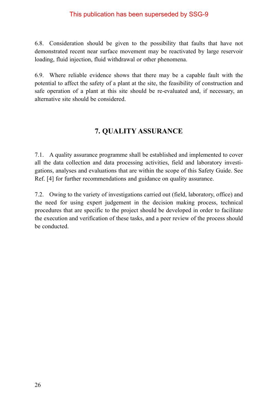6.8. Consideration should be given to the possibility that faults that have not demonstrated recent near surface movement may be reactivated by large reservoir loading, fluid injection, fluid withdrawal or other phenomena.

6.9. Where reliable evidence shows that there may be a capable fault with the potential to affect the safety of a plant at the site, the feasibility of construction and safe operation of a plant at this site should be re-evaluated and, if necessary, an alternative site should be considered.

# **7. QUALITY ASSURANCE**

7.1. A quality assurance programme shall be established and implemented to cover all the data collection and data processing activities, field and laboratory investigations, analyses and evaluations that are within the scope of this Safety Guide. See Ref. [4] for further recommendations and guidance on quality assurance.

7.2. Owing to the variety of investigations carried out (field, laboratory, office) and the need for using expert judgement in the decision making process, technical procedures that are specific to the project should be developed in order to facilitate the execution and verification of these tasks, and a peer review of the process should be conducted.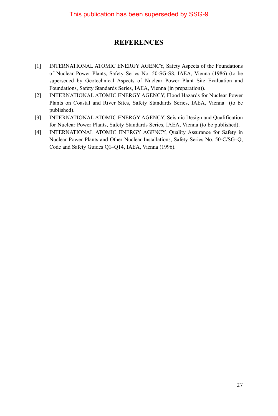### **REFERENCES**

- [1] INTERNATIONAL ATOMIC ENERGY AGENCY, Safety Aspects of the Foundations of Nuclear Power Plants, Safety Series No. 50-SG-S8, IAEA, Vienna (1986) (to be superseded by Geotechnical Aspects of Nuclear Power Plant Site Evaluation and Foundations, Safety Standards Series, IAEA, Vienna (in preparation)).
- [2] INTERNATIONAL ATOMIC ENERGY AGENCY, Flood Hazards for Nuclear Power Plants on Coastal and River Sites, Safety Standards Series, IAEA, Vienna (to be published).
- [3] INTERNATIONAL ATOMIC ENERGY AGENCY, Seismic Design and Qualification for Nuclear Power Plants, Safety Standards Series, IAEA, Vienna (to be published).
- [4] INTERNATIONAL ATOMIC ENERGY AGENCY, Quality Assurance for Safety in Nuclear Power Plants and Other Nuclear Installations, Safety Series No. 50-C/SG–Q, Code and Safety Guides Q1–Q14, IAEA, Vienna (1996).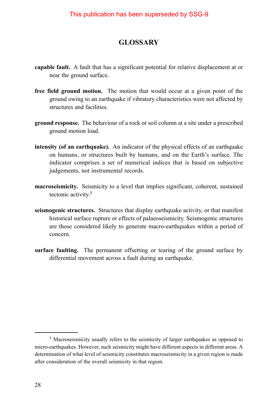#### **GLOSSARY**

- **capable fault.** A fault that has a significant potential for relative displacement at or near the ground surface.
- **free field ground motion.** The motion that would occur at a given point of the ground owing to an earthquake if vibratory characteristics were not affected by structures and facilities.
- **ground response.** The behaviour of a rock or soil column at a site under a prescribed ground motion load.
- **intensity (of an earthquake).** An indicator of the physical effects of an earthquake on humans, or structures built by humans, and on the Earth's surface. The indicator comprises a set of numerical indices that is based on subjective judgements, not instrumental records.
- **macroseismicity.** Seismicity to a level that implies significant, coherent, sustained tectonic activity.5
- **seismogenic structures.** Structures that display earthquake activity, or that manifest historical surface rupture or effects of palaeoseismicity. Seismogenic structures are those considered likely to generate macro-earthquakes within a period of concern.
- **surface faulting.** The permanent offsetting or tearing of the ground surface by differential movement across a fault during an earthquake.

<sup>5</sup> Macroseismicity usually refers to the seismicity of larger earthquakes as opposed to micro-earthquakes. However, such seismicity might have different aspects in different areas. A determination of what level of seismicity constitutes macroseismicity in a given region is made after consideration of the overall seismicity in that region.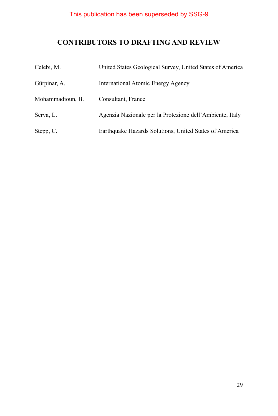# **CONTRIBUTORS TO DRAFTING AND REVIEW**

| Celebi, M.       | United States Geological Survey, United States of America |
|------------------|-----------------------------------------------------------|
| Gürpinar, A.     | International Atomic Energy Agency                        |
| Mohammadioun, B. | Consultant, France                                        |
| Serva, L.        | Agenzia Nazionale per la Protezione dell'Ambiente, Italy  |
| Stepp, C.        | Earthquake Hazards Solutions, United States of America    |